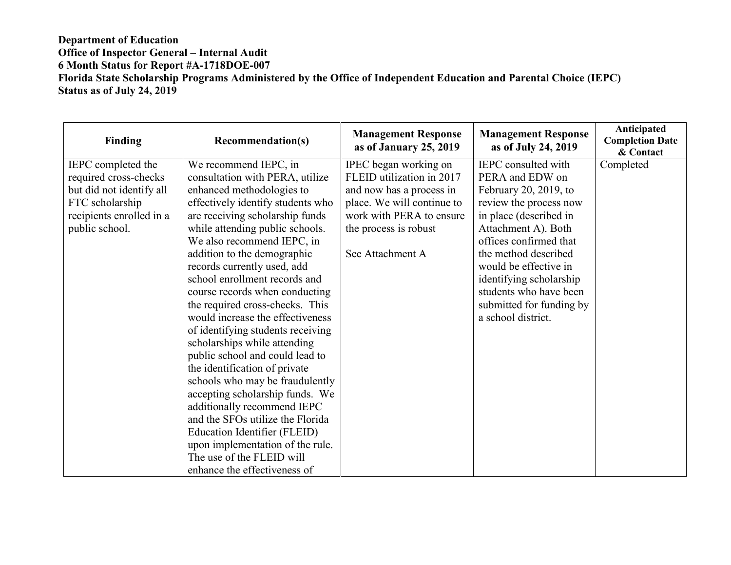## **Department of Education Office of Inspector General – Internal Audit 6 Month Status for Report #A-1718DOE-007 Florida State Scholarship Programs Administered by the Office of Independent Education and Parental Choice (IEPC) Status as of July 24, 2019**

| <b>Finding</b>           | <b>Recommendation(s)</b>          | <b>Management Response</b><br>as of January 25, 2019 | <b>Management Response</b><br>as of July 24, 2019 | Anticipated<br><b>Completion Date</b><br>& Contact |
|--------------------------|-----------------------------------|------------------------------------------------------|---------------------------------------------------|----------------------------------------------------|
| IEPC completed the       | We recommend IEPC, in             | IPEC began working on                                | IEPC consulted with                               | Completed                                          |
| required cross-checks    | consultation with PERA, utilize   | FLEID utilization in 2017                            | PERA and EDW on                                   |                                                    |
| but did not identify all | enhanced methodologies to         | and now has a process in                             | February 20, 2019, to                             |                                                    |
| FTC scholarship          | effectively identify students who | place. We will continue to                           | review the process now                            |                                                    |
| recipients enrolled in a | are receiving scholarship funds   | work with PERA to ensure                             | in place (described in                            |                                                    |
| public school.           | while attending public schools.   | the process is robust                                | Attachment A). Both                               |                                                    |
|                          | We also recommend IEPC, in        |                                                      | offices confirmed that                            |                                                    |
|                          | addition to the demographic       | See Attachment A                                     | the method described                              |                                                    |
|                          | records currently used, add       |                                                      | would be effective in                             |                                                    |
|                          | school enrollment records and     |                                                      | identifying scholarship                           |                                                    |
|                          | course records when conducting    |                                                      | students who have been                            |                                                    |
|                          | the required cross-checks. This   |                                                      | submitted for funding by                          |                                                    |
|                          | would increase the effectiveness  |                                                      | a school district.                                |                                                    |
|                          | of identifying students receiving |                                                      |                                                   |                                                    |
|                          | scholarships while attending      |                                                      |                                                   |                                                    |
|                          | public school and could lead to   |                                                      |                                                   |                                                    |
|                          | the identification of private     |                                                      |                                                   |                                                    |
|                          | schools who may be fraudulently   |                                                      |                                                   |                                                    |
|                          | accepting scholarship funds. We   |                                                      |                                                   |                                                    |
|                          | additionally recommend IEPC       |                                                      |                                                   |                                                    |
|                          | and the SFOs utilize the Florida  |                                                      |                                                   |                                                    |
|                          | Education Identifier (FLEID)      |                                                      |                                                   |                                                    |
|                          | upon implementation of the rule.  |                                                      |                                                   |                                                    |
|                          | The use of the FLEID will         |                                                      |                                                   |                                                    |
|                          | enhance the effectiveness of      |                                                      |                                                   |                                                    |